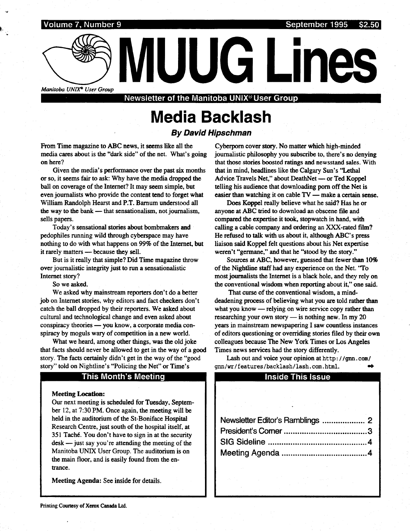

Manitoba UNIX<sup>®</sup> User Group<br>Newsletter of the Manitoba UNIX® User Group

# Media Backlash

## By David Hipschman

From Time magazine to ABC news, it seems like all the media cares about is the "dark side" of the net. What's going on here?

Given the media's performance over the past six months or so, it seems fair to ask: Why have the media dropped the ball on coverage of the Internet? It may seem simple, but even journalists who provide the content tend to forget what William Randolph Hearst and P.T. Barnum understood all the way to the bank - that sensationalism, not journalism, sells papers.

Today's sensational stories about bombmakers and pedophiles running wild through cyberspace may have nothing to do with what happens on 99% of the Internet, but it rarely matters - because they sell.

But is it really that simple? Did Time magazine throw over journalistic integrity just to run a sensationalistic Internet story?

So we asked.

We asked why mainstream reporters don't do a better job on Internet stories, why editors and fact checkers don't catch the ball dropped by their reporters. We asked about cultural and technological change and even asked about conspiracy theories - you know, a corporate media conspiracy by moguls wary of competition in a new world.

What we heard, among other things, was the old joke that facts should never be allowed to get in the way of a good story. The facts certainly didn't get in the way of the "good story" told on Nightline's "Policing the Net" or Time's

#### This Month's Meeting

#### **Meeting Location:**

Our next meeting is scheduled for Tuesday, September 12, at 7:30 PM. Once again, the meeting will be held in the auditorium of the St-Boniface Hospital Research Centre, just south of the hospital itself, at 351 Taché. You don't have to sign in at the security  $\text{desk}$  -just say you're attending the meeting of the Manitoba UNIX User Group. The auditorium is on the main floor, and is easily found from the entrance .

Meeting Agenda: See inside for details.

Cyberporn cover story . No matter which high-minded journalistic philosophy you subscribe to, there's no denying that those stories boosted ratings and newsstand sales. With that in mind, headlines like the Calgary Sun's "Lethal Advice Travels Net," about DeathNet — or Ted Koppel telling his audience that downloading porn off the Net is easier than watching it on cable  $TV$  -make a certain sense.

Does Koppel really believe what he said? Has he or anyone at ABC tried to download an obscene file and compared the expertise it took, stopwatch in hand, with calling a cable company and ordering an XXX-rated film? He refused to talk with us about it, although ABC's press liaison said Koppel felt questions about his Net expertise weren't "germane," and that he "stood by the story ."

Sources at ABC, however, guessed that fewer than 10% of the Nightline staff had any experience on the Net . "To most journalists the Internet is a black hole, and they rely on the conventional wisdom when reporting about it," one said.

That curse of the conventional wisdom, a minddeadening process of believing what you are told rather than what you know — relying on wire service copy rather than researching your own story  $-$  is nothing new. In my 20 years in mainstream newspapering I saw countless instances of editors questioning or overriding stories filed by their own colleagues because The New York Times or Los Angeles Times news services had the story differently.

#### Inside This Issue

| Lash out and voice your opinion at http://gnn.com/<br>nn/wr/features/backlash/lash.com.html. |  |
|----------------------------------------------------------------------------------------------|--|
| <b>Inside This Issue</b>                                                                     |  |
|                                                                                              |  |
|                                                                                              |  |
|                                                                                              |  |
| <b>Contract Contract</b>                                                                     |  |
| Newsletter Editor's Ramblings  2                                                             |  |
|                                                                                              |  |
|                                                                                              |  |
|                                                                                              |  |
|                                                                                              |  |
| $\hat{\mathcal{L}}$ , and $\hat{\mathcal{L}}$ , and                                          |  |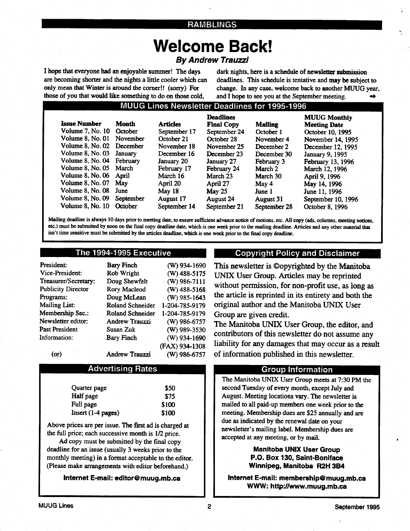#### RAMBLINGS

# Welcome Back!

## By Andrew Trauzzi

I hope that everyone had an enjoyable summer! The days are becoming shorter and the nights a little cooler which can only mean that Winter is around the corner!! (sorry) For those of you that would like something to do on those cold,

 

dark nights, here is a schedule of newsletter submission deadlines. This schedule is tentative and may be subject to change. In any case, welcome back to another MUUG year, and I hope to see you at the September meeting. a

## MUUG Lines Newsletter Deadlines for 1995-1996

| <b>Issue Number</b>       | Month     | <b>Articles</b> | <b>Deadlines</b><br><b>Final Copy</b> | <b>Mailing</b>   | <b>MUUG Monthly</b><br><b>Meeting Date</b> |
|---------------------------|-----------|-----------------|---------------------------------------|------------------|--------------------------------------------|
| Volume 7, No. 10 October  |           | September 17    | September 24                          | October 1        | October 10, 1995                           |
| Volume 8, No. 01          | November  | October 21      | October 28                            | November 4       | November 14, 1995                          |
| Volume 8, No. 02 December |           | November 18     | November 25                           | December 2       | December 12, 1995                          |
| Volume 8, No. 03          | January   | December 16     | December 23                           | December 30      | January 9, 1995                            |
| Volume 8, No. 04 February |           | January 20      | January 27                            | February 3       | February 13, 1996                          |
| Volume 8, No. 05          | March     | February 17     | February 24                           | March 2          | March 12, 1996                             |
| <b>Volume 8, No. 06</b>   | April     | March 16        | March 23                              | March 30         | April 9, 1996                              |
| <b>Volume 8, No. 07</b>   | May       | April 20        | April 27                              | May 4            | May 14, 1996                               |
| Volume 8, No. 08          | June      | May $18$        | May $25$                              | June 1           | June 11, 1996                              |
| Volume 8, No. 09          | September | August 17       | <b>August 24</b>                      | <b>August 31</b> | September 10, 1996                         |
| Volume $8$ , No. $101$    | October   | September 14    | September 21                          | September 28     | October 8, 1996                            |

Mailing deadline is always 10 days prior to meeting date, to ensure sufficient advance notice of motions, etc . All copy (ads, columns, meeting notices, etc.) must be submitted by noon on the final copy deadline date, which is one week prior to the mailing deadline . Articles and any other material that isn't time sensitive must be submitted by the articles deadline, which is one week prior to the final copy deadline.

#### The 1994-1995 Executive

| President:                | <b>Bary Finch</b>       | $(W)$ 934-1690 |
|---------------------------|-------------------------|----------------|
| Vice-President:           | Rob Wright              | $(W)$ 488-5175 |
| Treasurer/Secretary:      | Doug Shewfelt           | $(W)$ 986-7111 |
| <b>Publicity Director</b> | Rory Macleod            | $(W)$ 488-5168 |
| Programs:                 | Doug McLean             | $(W)$ 985-1643 |
| <b>Mailing List:</b>      | <b>Roland Schneider</b> | 1-204-785-9179 |
| Membership Sec.:          | <b>Roland Schneider</b> | 1-204-785-9179 |
| Newsletter editor:        | <b>Andrew Trauzzi</b>   | $(W)$ 986-6757 |
| <b>Past President</b>     | Susan Zuk               | $(W)$ 989-3530 |
| Information:              | <b>Bary Finch</b>       | $(W)$ 934-1690 |
|                           |                         | (FAX) 934-1308 |
| (or)                      | Andrew Trauzzi          | (W) 986-6757   |

#### Advertising Rates

| Quarter page        | <b>S50</b> |
|---------------------|------------|
| Half page           | \$75       |
| Full page           | \$100      |
| $Insert(1-4 pages)$ | \$100      |

Above prices are per issue . The first ad is charged at the full price; each successive month is  $1/2$  price.

Ad copy must be submitted by the final copy deadline for an issue (usually 3 weeks prior to the monthly meeting) in a format acceptable to the editor. (Please make arrangements with editor beforehand.)

Internet E-mail: editor@muug.mb.ca

#### Copyright Policy and Disclaimer

This newsletter is ©opyrighted by the Manitoba UNIX User Group. Articles may be reprinted without permission, for non-profit use, as long as the article is reprinted in its entirety and both the original author and the Manitoba UNIX User Group are given credit.

The Manitoba UNIX User Group, the editor, and contributors of this newsletter do not assume any liability for any damages that may occur as a result of information published in this newsletter .

#### Group Information

The Manitoba UNIX User Group meets at 7:30 PM the second Tuesday of every month, except July and August. Meeting locations vary. The newsletter is mailed to all paid-up members one week prior to the meeting. Membership dues are \$25 annually and are due as indicated by the renewal date on your newsletter's mailing label. Membership dues are accepted at any meeting, or by mail.

> Manitoba UNIX User Group P.O. Box 130, Saint-Boniface Winnipeg, Manitoba R2H 3B4

Internet E-mail: membership@muug.mb.ca WWW: http://www.muug.mb.ca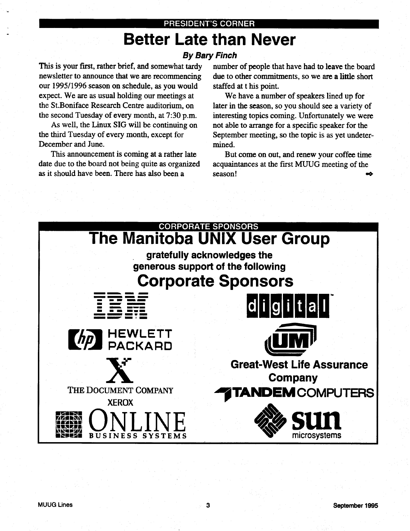# PRESIDENT'S CORNER Better Late than Never

# By Bary Finch

This is your first, rather brief, and somewhat tardy newsletter to announce that we are recommencing our 1995/1996 season on schedule, as you would expect. We are as usual holding our meetings at the St.Boniface Research Centre auditorium, on the second Tuesday of every month, at 7:30 p.m.

 

As well, the Linux SIG will be continuing on the third Tuesday of every month, except for December and June.

This announcement is coming at a rather late date due to the board not being quite as organized as it should have been. There has also been a

number of people that have had to leave the board due to other commitments, so we are a little short staffed at t his point.

We have a number of speakers lined up for later in the season, so you should see a variety of interesting topics coming. Unfortunately we were not able to arrange for a specific speaker for the September meeting, so the topic is as yet undetermined.

But come on out, and renew your coffee time acquaintances at the first MUUG meeting of the season! a